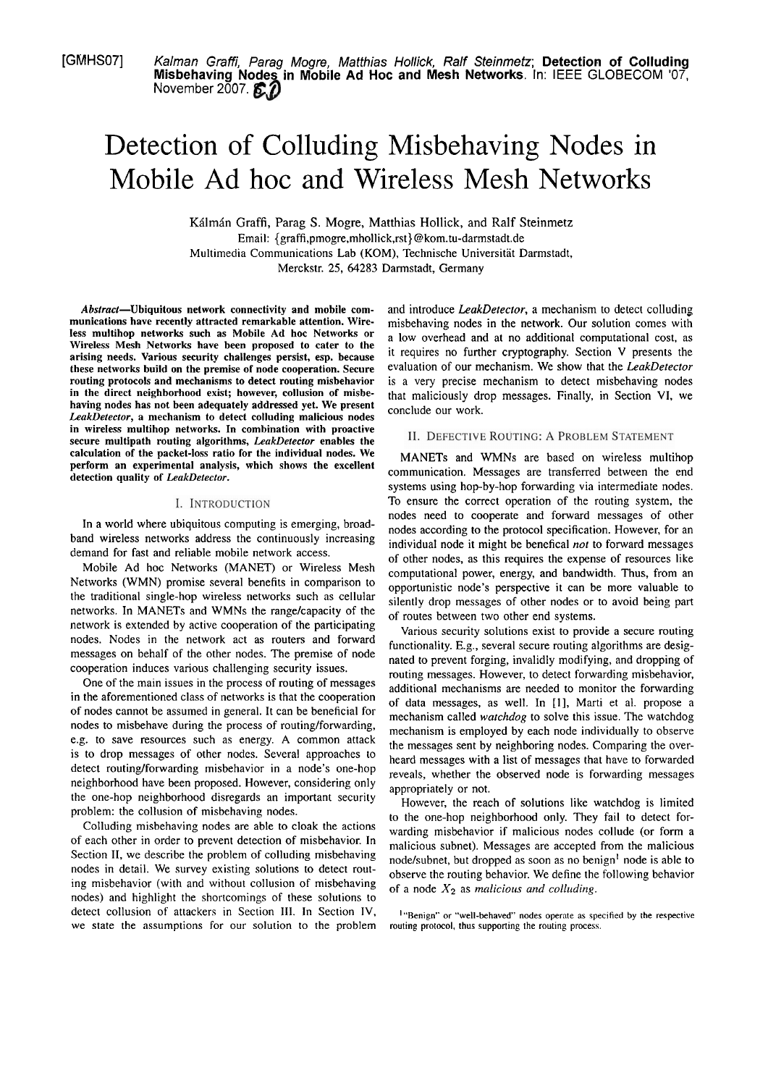# Detection of Colluding Misbehaving Nodes in Mobile Ad hoc and Wireless Mesh Networks

Kaiman Graffi, Parag S. Mogre, Matthias Hollick, and Ralf Steinmetz Email: {graffi,pmogre,mhollick,rst}@kom.tu-darmstadt.de Multimedia Communications Lab (KOM), Technische Universität Darrnstadt, Merckstr. 25, 64283 Darrnstadt, Gerrnany

**munications have recently attracted remarkable attention. Wireless multihop networks such as Mobile Ad hoc Networks or Wireless Mesh Networks have been proposed to cater to the arising needs. Various security challenges persist, esp. because these networks build on the premise of node cooperation. Secure routing protocols and mechanisms to detect routing misbehavior in the direct neighborhood exist; however, collusion of misbehaving nodes has not been adequately addressed yet. We present LeakDetector, a mechanism to detect colluding malicious nodes in wireless multihop networks. In combination with proactive**  secure multipath routing algorithms, LeakDetector enables the **calculation of the packet-loss ratio for the individual nodes. We perform an experimental analysis, which shows the excellent detection quality of LeakDetector.** 

### I. INTRODUCTION

In a world where ubiquitous computing is emerging, broadband wireless networks address the continuously increasing dernand for fast and reliable mobile network access.

Mobile Ad hoc Networks (MANET) or Wireless Mesh Networks (WMN) promise several benefits in comparison to the traditional single-hop wireless networks such as cellular networks. In MANETs and WMNs the rangelcapacity of the network is extended by active cooperation of the participating nodes. Nodes in the network act as routers and forward messages on behalf of the other nodes. The premise of node cooperation induces various challenging security issues.

One of the main issues in the process of routing of messages in the aforementioned class of networks is that the cooperation of nodes cannot be assurned in general. It can be beneficial for nodes to misbehave during the process of routing/forwarding, e.g. to save resources such as energy. A common attack is to drop rnessages of other nodes. Several approaches to detect routing/forwarding misbehavior in a node's one-hop neighborhood have been proposed. However, considering only the one-hop neighborhood disregards an important security problem: the collusion of misbehaving nodes.

Colluding misbehaving nodes are able to cloak the actions of each other in order to prevent detection of misbehavior. In Section II, we describe the problem of colluding misbehaving nodes in detail. We survey existing solutions to detect routing misbehavior (with and without collusion of misbehaving nodes) and highlight the shortcomings of these solutions to detect collusion of attackers in Section 111. In Section IV, we state the assumptions for our solution to the problem

Abstract—Ubiquitous network connectivity and mobile com- and introduce LeakDetector, a mechanism to detect colluding misbehaving nodes in the network. Our solution comes with a low overhead and at no additional cornputational cost, as it requires no further cryptography. Section V presents the evaluation of our mechanism. We show that the **LeakDetector** is a very precise mechanism to detect misbehaving nodes that maliciously drop messages. Finally, in Section VI, we conclude our work.

#### II. DEFECTIVE ROUTING: A PROBLEM STATEMENT

MANETs and WMNs are based on wireless multihop communication. Messages are transferred between the end systems using hop-by-hop forwarding via intermediate nodes. To ensure the correct operation of the routing systern, the nodes need to cooperate and forward messages of other nodes according to the protocol specification. However, for an individual node it might be benefical *not* to forward messages of other nodes, as this requires the expense of resources like computational power, energy, and bandwidth. Thus, from an opportunistic node's perspective it can be more valuable to silently drop messages of other nodes or to avoid being part of routes between two other end systerns.

Various security solutions exist to provide a secure routing functionality. E.g., several secure routing algorithms are designated to prevent forging, invalidly modifying, and dropping of routing messages. However, to detect forwarding misbehavior, additional mechanisms are needed to monitor the forwarding of data messages, as well. In [1], Marti et al. propose a mechanism called watchdog to solve this issue. The watchdog mechanism is employed by each node individually to observe the messages sent by neighboring nodes. Comparing the overheard messages with a list of messages that have to forwarded reveals, whether the observed node is forwarding messages appropriately or not.

However, the reach of solutions like watchdog is limited to the one-hop neighborhood only. They fail to detect forwarding misbehavior if malicious nodes collude (or form a malicious subnet). Messages are accepted from the malicious node/subnet, but dropped as soon as no benign<sup>1</sup> node is able to observe the routing behavior. We define the following behavior of a node  $X_2$  as *malicious and colluding*.

<sup>1</sup>"Benign" or "well-behaved" nodes operate as specified by the respective routing protocol, thus supporting the routing process.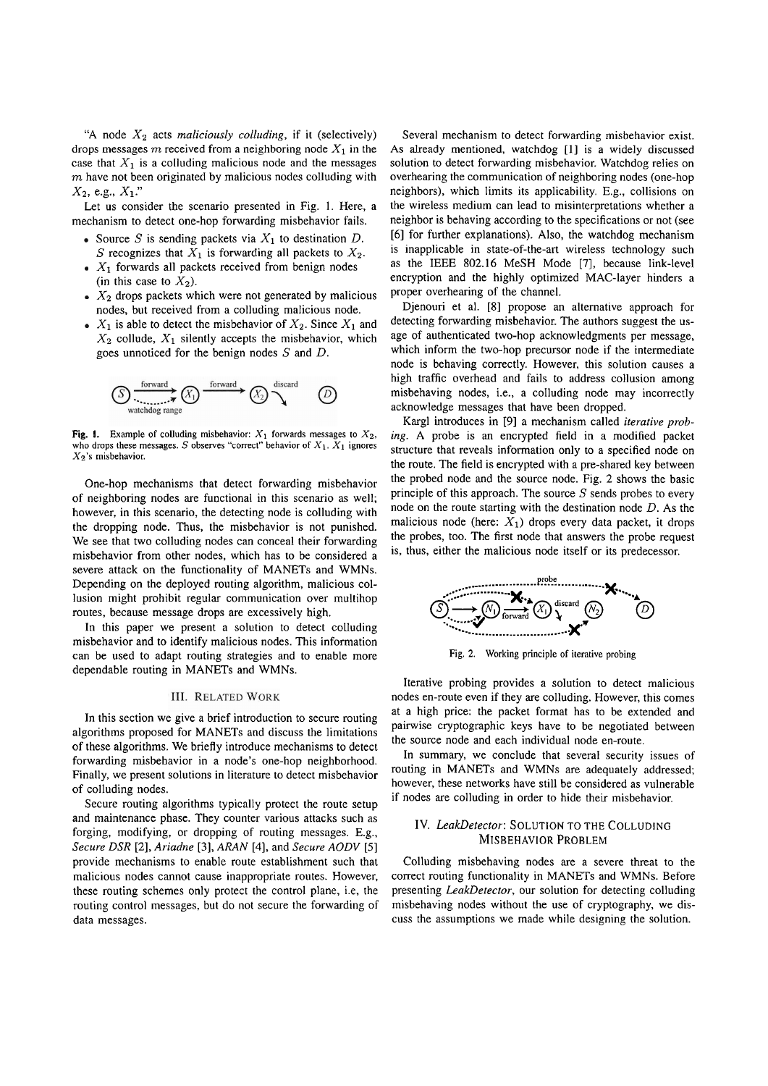"A node  $X_2$  acts *maliciously colluding*, if it (selectively) drops messages m received from a neighboring node  $X_1$  in the case that  $X_1$  is a colluding malicious node and the messages  $m$  have not been originated by malicious nodes colluding with  $X_2$ , e.g.,  $X_1$ ."

Let us consider the scenario presented in Fig. 1. Here, a mechanism to detect one-hop forwarding misbehavior fails.

- Source *S* is sending packets via  $X_1$  to destination *D*.
- *S* recognizes that  $X_1$  is forwarding all packets to  $X_2$ .  $\bullet$   $X_1$  forwards all packets received from benign nodes
- (in this case to  $X_2$ ).
- $\bullet$   $X_2$  drops packets which were not generated by malicious nodes, but received from a colluding malicious node.
- $X_1$  is able to detect the misbehavior of  $X_2$ . Since  $X_1$  and  $X_2$  collude,  $X_1$  silently accepts the misbehavior, which goes unnoticed for the benign nodes *S* and D.



**Fig. 1.** Example of colluding misbehavior:  $X_1$  forwards messages to  $X_2$ , who drops these messages.  $S$  observes "correct" behavior of  $X_1$ .  $X_1$  ignores **Xz's misbehavior.** 

One-hop mechanisms that detect forwarding misbehavior of neighboring nodes are functional in this scenario as well; however, in this scenario, the detecting node is colluding with the dropping node. Thus, the misbehavior is not punished. We see that two colluding nodes can conceal their forwarding misbehavior from other nodes, which has to be considered a severe attack on the functionality of MANETs and WMNs. Depending on the deployed routing algorithm, malicious collusion might prohibit regular communication over multihop routes, because message drops are excessively high.

In this paper we present a solution to detect colluding misbehavior and to identify malicious nodes. This information can be used to adapt routing strategies and to enable more dependable routing in MANETs and WMNs.

#### **III. RELATED WORK**

In this section we give a brief introduction to secure routing algorithms proposed for MANETs and discuss the limitations of these algorithrns. We briefly introduce rnechanisrns to detect forwarding misbehavior in a node's one-hop neighborhood. Finally, we present solutions in literature to detect misbehavior of colluding nodes.

Secure routing algorithms typically protect the route setup and maintenance phase. They counter various attacks such as forging, modifying, or dropping of routing messages. E.g., *Secure DSR* [2], *Ariadne* [3], *ARAN* [4], and *Secure AODV* [5] provide mechanisms to enable route establishment such that malicious nodes cannot cause inappropriate routes. However, these routing schernes only protect the control plane, i.e, the routing control messages, but do not secure the forwarding of data messages.

Several mechanism to detect forwarding misbehavior exist. As already mentioned, watchdog [1] is a widely discussed solution to detect forwarding misbehavior. Watchdog relies on overhearing the communication of neighboring nodes (one-hop neighbors), which limits its applicability. E.g., collisions on the wireless medium can lead to misinterpretations whether a neighbor is behaving according to the specifications or not (see [6] for further explanations). Also, the watchdog mechanism is inapplicable in state-of-the-art wireless technology such as the IEEE 802.16 MeSH Mode [7], because link-level encryption and the highly optimized MAC-layer hinders a proper overhearing of the channel.

Djenouri et al. [8] propose an alternative approach for detecting forwarding misbehavior. The authors suggest the usage of authenticated two-hop acknowledgments per message, which inform the two-hop precursor node if the intermediate node is behaving correctly. However, this solution causes a high traffic overhead and fails to address collusion among misbehaving nodes, i.e., a colluding node may incorrectly acknowledge messages that have been dropped.

Kargl introduces in [9] a rnechanisrn called *iterative probing.* A probe is an encrypted field in a modified packet structure that reveals inforrnation only to a specified node on the route. The field is encrypted with a pre-shared key between the probed node and the source node. Fig. 2 shows the basic principle of this approach. The source *S* sends probes to every node on the route starting with the destination node  $D$ . As the malicious node (here:  $X_1$ ) drops every data packet, it drops the probes, too. The first node that answers the probe request is, thus, either the malicious node itself or its predecessor.



**Fig. 2. Working principle of iterative probing** 

Iterative probing provides a solution to detect malicious nodes en-route even if they are colluding. However, this comes at a high price: the packet forrnat has to be extended and pairwise cryptographic keys have to be negotiated between the source node and each individual node en-route.

In Summary, we conclude that several security issues of routing in MANETs and WMNs are adequately addressed; however, these networks have still be considered as vulnerable if nodes are colluding in order to hide their misbehavior.

# IV. *LeakDetector:* SOLUTION **T0 THE** COLLUDING MISBEHAVIOR PROBLEM

Colluding misbehaving nodes are a severe threat to the correct routing functionality in MANETs and WMNs. Before presenting *LeakDetector,* our solution for detecting colluding misbehaving nodes without the use of cryptography, we discuss the assurnptions we rnade while designing the solution.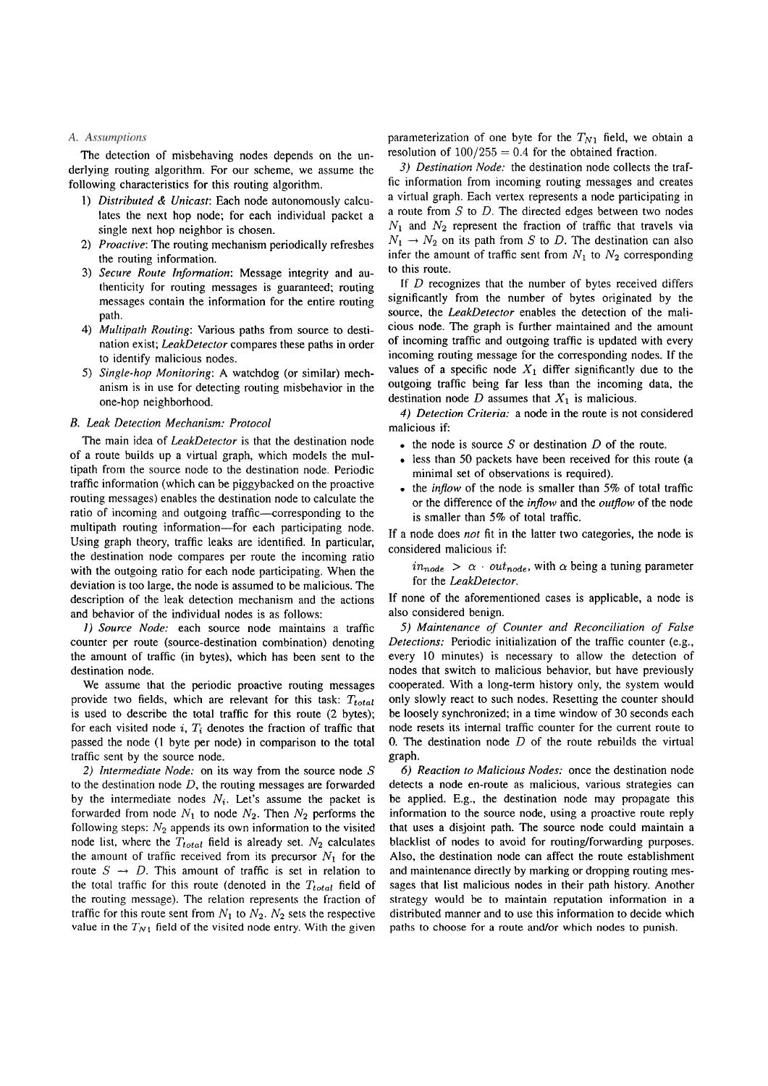### A. Assumptions

The detection of misbehaving nodes depends on the underlying routing algorithm. For our scheme, we assume the following characteristics for this routing algorithm.

- 1) *Distributed & Unicast*: Each node autonomously calculates the next hop node; for each individual packet a single next hop neighbor is chosen.
- 2) *Proactive*: The routing mechanism periodically refreshes the routing information.
- **3)** *Secure Route Information:* Message integrity and authenticity for routing messages is guaranteed; routing messages contain the information for the entire routing path.
- 4) *Multipath Routing: Various paths from source to desti*nation exist; *LeakDetector* compares these paths in order to identify malicious nodes.
- 5) *Single-hop Monitoring*: A watchdog (or similar) mechanism is in use for detecting routing misbehavior in the one-hop neighborhood.

### *B. Leak Detection Mechanism: Protocol*

The main idea of *LeakDetector* is that the destination node of a route builds up a virtual graph, which models the multipath frorn the source node to the destination node. Periodic traffic inforrnation (which can be piggybacked on the proactive routing messages) enables the destination node to calculate the ratio of incoming and outgoing traffic-corresponding to the multipath routing information-for each participating node. Using graph theory, traffic leaks are identified. In particular, the destination node compares per route the incoming ratio with the outgoing ratio for each node participating. When the deviation is too large, the node is assumed to be malicious. The description of the leak detection mechanism and the actions and behavior of the individual nodes is as follows:

*I) Source Node:* each source node maintains a traffic counter per route (source-destination cornbination) denoting the arnount of traffic (in bytes), which has been sent to the destination node.

We assume that the periodic proactive routing messages provide two fields, which are relevant for this task:  $T_{total}$ is used to describe the total traffic for this route (2 bytes); for each visited node  $i$ ,  $T_i$  denotes the fraction of traffic that passed the node (1 byte per node) in comparison to the total traffic sent by the source node.

2) *Intermediate Node:* on its way frorn the source node *S*  to the destination node  $D$ , the routing messages are forwarded by the intermediate nodes  $N_i$ . Let's assume the packet is forwarded from node  $N_1$  to node  $N_2$ . Then  $N_2$  performs the following steps:  $N_2$  appends its own information to the visited node list, where the  $T_{total}$  field is already set.  $N_2$  calculates the amount of traffic received from its precursor  $N_1$  for the route  $S \rightarrow D$ . This amount of traffic is set in relation to the total traffic for this route (denoted in the  $T_{total}$  field of the routing message). The relation represents the fraction of traffic for this route sent from  $N_1$  to  $N_2$ .  $N_2$  sets the respective value in the  $T_{N1}$  field of the visited node entry. With the given

parameterization of one byte for the  $T_{N1}$  field, we obtain a resolution of  $100/255 = 0.4$  for the obtained fraction.

3) *Destination Node:* the destination node collects the traffic information from incoming routing messages and creates a virtual graph. Each vertex represents a node participating in a route frorn *S* to D. The directed edges between two nodes  $N_1$  and  $N_2$  represent the fraction of traffic that travels via  $N_1 \rightarrow N_2$  on its path from *S* to *D*. The destination can also infer the amount of traffic sent from  $N_1$  to  $N_2$  corresponding to this route.

If  $D$  recognizes that the number of bytes received differs significantly from the number of bytes originated by the source, the *LeakDetector* enables the detection of the malicious node. The graph is further maintained and the amount of incorning traffic and outgoing traffic is updated with every incoming routing message for the corresponding nodes. If the values of a specific node  $X_1$  differ significantly due to the outgoing traffic being far less than the incoming data, the destination node D assumes that  $X_1$  is malicious.

4) *Detection Criteria:* a node in the route is not considered malicious if:

- $\bullet$  the node is source *S* or destination *D* of the route.
- less than 50 packets have been received for this route (a minimal set of observations is required).
- the *injow* of the node is srnaller than 5% of total traffic  $\bullet$ or the difference of the *inflow* and the *outflow* of the node is srnaller than 5% of total traffic.

If a node does *not* fit in the latter two categories, the node is considered malicious if:

 $in_{node} > \alpha \cdot out_{node}$ , with  $\alpha$  being a tuning parameter for the *LeakDetector.* 

If none of the aforernentioned cases is applicable, a node is also considered benign.

5) *Maintenance of Counter und Reconciliation of False Detections:* Periodic initialization of the traffic counter (e.g., every 10 minutes) is necessary to allow the detection of nodes that switch to malicious behavior, but have previously cooperated. With a long-terrn history only, the systern would only slowly react to such nodes. Resetting the counter should be loosely synchronized; in a time window of 30 seconds each node resets its internal traffic counter for the current route to 0. The destination node  $D$  of the route rebuilds the virtual graph.

*6) Reaction to Malicious Nodes:* once the destination node detects a node en-route as malicious, various strategies can be applied. E.g., the destination node may propagate this information to the source node, using a proactive route reply that uses a disjoint path. The source node could maintain a blacklist of nodes to avoid for routing/forwarding purposes. Also, the destination node can affect the route establishment and maintenance directly by marking or dropping routing messages that list malicious nodes in their path history. Another strategy would be to maintain reputation information in a distributed manner and to use this information to decide which paths to choose for a route and/or which nodes to punish.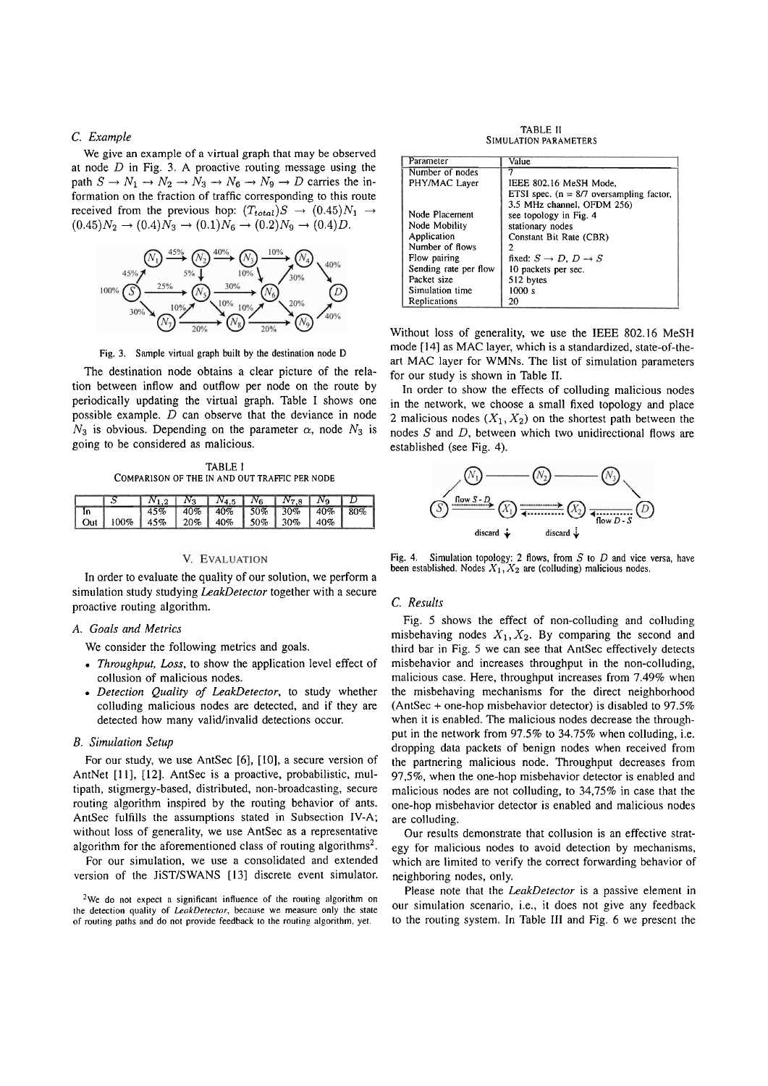We give an example of a virtual graph that may be observed at node  $D$  in Fig. 3. A proactive routing message using the path  $S \to N_1 \to N_2 \to N_3 \to N_6 \to N_9 \to D$  carries the information on the fraction of traffic corresponding to this route received from the previous hop:  $(T_{total})S \rightarrow (0.45)N_1 \rightarrow$  $(0.45)N_2 \rightarrow (0.4)N_3 \rightarrow (0.1)N_6 \rightarrow (0.2)N_9 \rightarrow (0.4)D.$ 



**Fig. 3. Sample virtual graph built by the destinaiion node D** 

The destination node obtains a clear picture of the relation between inflow and outflow per node on the route by periodically updating the virtual graph. Table I shows one possible example.  $D$  can observe that the deviance in node  $N_3$  is obvious. Depending on the parameter  $\alpha$ , node  $N_3$  is going to be considered as malicious.

**TABLE I**  COMPARISON OFTHE IN AND OUT TRAFFlC PER NODE

|     |                           |     | $\sim +N_3$  |     | $N_{\rm B}$ | $N_{7,8}$ |     |  |
|-----|---------------------------|-----|--------------|-----|-------------|-----------|-----|--|
| ın  |                           | 45% | 40\% $\vert$ | 40% | $\vert$ 50% | $30\%$    | 40% |  |
| Out | $100\%$   45%   20%   40% |     |              |     | $150\%$     | 30%       | 40% |  |

# V. EVALUATION

In order to evaluate the quality of our solution, we perform a simulation study studying *LeakDetector* together with a secure proactive routing algorithm.

# *A. Goals und Metrics*

We consider the following metrics and goals.

- . *Throughput, Loss,* to show the application level effect of collusion of malicious nodes.
- Detection Quality of LeakDetector, to study whether colluding malicious nodes are detected, and if they are detected how many valid/invalid detections occur.

#### *B. Simulation Setup*

For our study, we use AntSec [6], [IO], a secure version of AntNet [11], [12]. AntSec is a proactive, probabilistic, multipath, stigmergy-based, distributed, non-broadcasting, secure routing algorithm inspired by the routing behavior of ants. AntSec fulfills the assurnptions stated in Subsection IV-A; without loss of generality, we use AntSec as a representative algorithm for the aforementioned class of routing algorithms'.

For our simulation, we use a consolidated and extended version of the JiST/SWANS [13] discrete event simulator.

*C. Example* **TABLE 11**  SIMULATION PARAMETERS

| Parameter             | Value                                        |  |  |
|-----------------------|----------------------------------------------|--|--|
| Number of nodes       |                                              |  |  |
| PHY/MAC Layer         | IEEE 802.16 MeSH Mode.                       |  |  |
|                       | ETSI spec. $(n = 8/7)$ oversampling factor,  |  |  |
|                       | 3.5 MHz channel, OFDM 256)                   |  |  |
| Node Placement        | see topology in Fig. 4                       |  |  |
| Node Mobility         | stationary nodes                             |  |  |
| Application           | Constant Bit Rate (CBR)                      |  |  |
| Number of flows       | 2                                            |  |  |
| Flow pairing          | fixed: $S \rightarrow D$ , $D \rightarrow S$ |  |  |
| Sending rate per flow | 10 packets per sec.                          |  |  |
| Packet size           | 512 bytes                                    |  |  |
| Simulation time       | 1000 s                                       |  |  |
| Replications          | 20                                           |  |  |

Without loss of generality, we use the IEEE 802.16 MeSH mode [I41 as MAC layer, which is a standardized, state-of-theart MAC layer for WMNs. The list of simulation parameters for our study is shown in Table 11.

In order to show the effects of colluding malicious nodes in the network, we choose a srnall fixed topology and place 2 malicious nodes  $(X_1, X_2)$  on the shortest path between the nodes S and D, between which two unidirectional flows are established (see Fig. 4).



**Fig. 4. Simulation topology: 2 flows, from S io D and vice versa, have**  been established. Nodes  $X_1$ ,  $X_2$  are (colluding) malicious nodes.

#### *C. Results*

Fig. 5 shows the effect of non-colluding and colluding misbehaving nodes  $X_1, X_2$ . By comparing the second and third bar in Fig. 5 we can see that AntSec effectively detects misbehavior and increases throughput in the non-colluding, malicious case. Here, throughput increases from 7.49% when the misbehaving mechanisms for the direct neighborhood (AntSec + one-hop misbehavior detector) is disabled to  $97.5\%$ when it is enabled. The malicious nodes decrease the throughput in the network from  $97.5\%$  to 34.75% when colluding, i.e. dropping data packets of benign nodes when received from the partnering malicious node. Throughput decreases frorn 97,5%, when the one-hop misbehavior detector is enabled and malicious nodes are not colluding, to 34.75% in case that the one-hop misbehavior detector is enabled and malicious nodes are colluding.

Our results demonstrate that collusion is an effective strategy for malicious nodes to avoid detection by mechanisms, which are limited to verify the correct forwarding behavior of neighboring nodes, only.

Please note that the *LeakDetector* is a passive element in our simulation scenario, i.e., it does not give any feedback to the routing System. In Table **I11** and Fig. 6 we present the

<sup>&</sup>lt;sup>2</sup>We do not expect a significant influence of the routing algorithm on **the deteciion quality of** *LeokDetecior,* **because we measure only ihe staie of rouiing paths and do noi provide feedback io the routing algoriihm, yet.**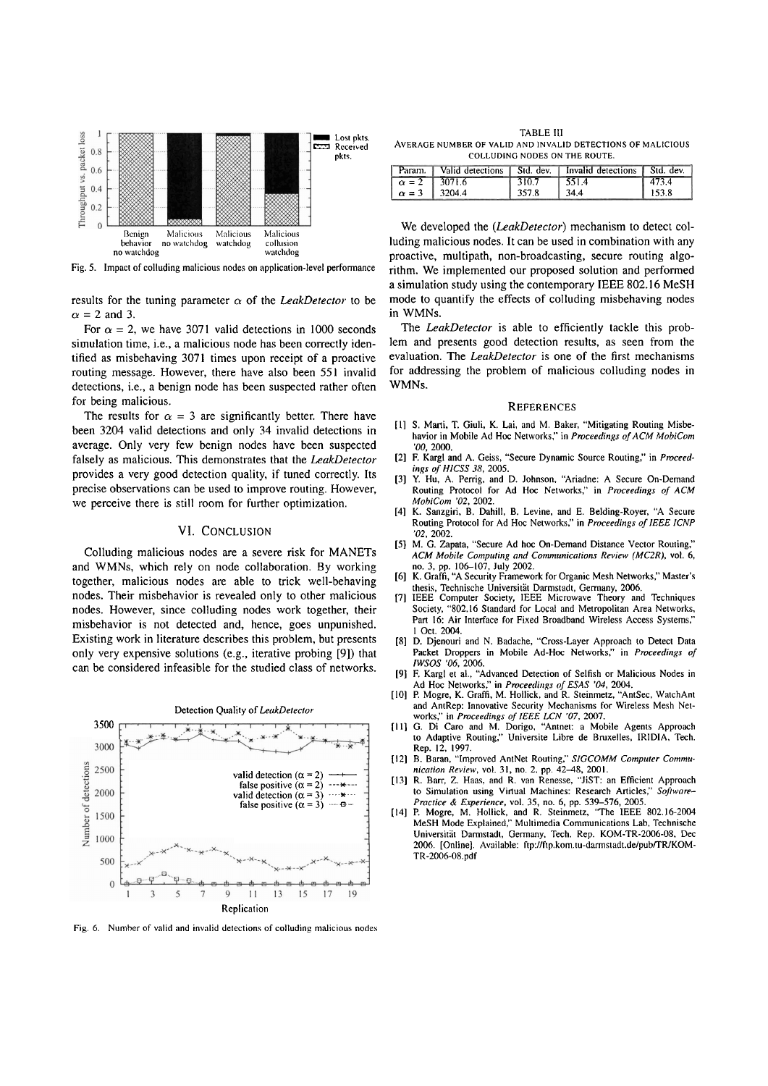

Fig. 5. Impact of colluding malicious nodes on application-level performance

results for the tuning parameter  $\alpha$  of the *LeakDetector* to be  $\alpha = 2$  and 3.

For  $\alpha = 2$ , we have 3071 valid detections in 1000 seconds simulation time, i.e., a malicious node has been correctly identified as misbehaving 3071 times upon receipt of a proactive routing message. However, there have also been 551 invalid detections, i.e., a benign node has been suspected rather often for being malicious.

The results for  $\alpha = 3$  are significantly better. There have been 3204 valid detections and only 34 invalid detections in average. Only very few benign nodes have been suspected falsely as malicious. This demonstrates that the *LeakDetector*  provides a very good detection quality, if tuned correctly. Its precise observations can be used to improve routing. However, we perceive there is still room for further optimization.

#### VI. CONCLUSION

Colluding malicious nodes are a severe risk for MANETs and WMNs, which rely on node collaboration. By working together, malicious nodes are able to trick well-behaving nodes. Their misbehavior is revealed only to other malicious nodes. However, since colluding nodes work together, their misbehavior is not detected and, hence, goes unpunished. Existing work in literature describes this problem, but presents only very expensive solutions (e.g., iterative probing [9]) that can be considered infeasible for the studied class of networks.



Fig. 6. Number of valid and invalid deiections **of** colluding malicious nodes

| TABLE III                                                   |  |  |  |  |  |  |  |
|-------------------------------------------------------------|--|--|--|--|--|--|--|
| AVERAGE NUMBER OF VALID AND INVALID DETECTIONS OF MALICIOUS |  |  |  |  |  |  |  |
| COLLUDING NODES ON THE ROUTE.                               |  |  |  |  |  |  |  |

| Param.       | Valid detections   Std. dev. |       | Invalid detections | Std. dev. |
|--------------|------------------------------|-------|--------------------|-----------|
| $\alpha = 2$ | 3071.6                       |       | 551.4              | 473.4     |
| $\alpha = 3$ | 3204.4                       | 357.8 | 34.4               | 153.8     |

We developed the *(LeakDetector)* mechanism to detect colluding malicious nodes. It can be used in combination with any proactive, multipath, non-broadcasting, secure routing algorithm. We implemented our proposed solution and performed a simulation study using the contemporary IEEE 802.16 MeSH mode to quantify the effects of colluding misbehaving nodes in WMNs.

The *LeakDetector* is able to efficiently tackle this problem and presents good detection results, as seen from the evaluation. The *LeakDeteclor* is one of the first mechanisms for addressing the problem of malicious colluding nodes in WMNs.

#### **REFERENCES**

- [1] S. Marti, T. Giuli, K. Lai, and M. Baker, "Mitigating Routing Misbehavior in Mobile Ad Hoc Networks:' in *Pmceedings of ACM MobiConl*  '00,2000.
- 121 F. Kargl and A. Geiss, "Secure Dynamic Source Routing," in *Proceedings of HICSS 38,* 2005.
- [3] Y. Hu, A. Perrig, and D. Johnson, "Ariadne: A Secure On-Demand Rouiing Protocol for Ad Hoc Networks," in *Proceedings of ACM MohiCom '02,* 2002.
- [4] K. Sanzgiri, B. Dahill, B. Levine. and E. Belding-Royer. "A Secure Routing Protocol for Ad Hoc Neiworks," in *Proceedings of IEEE ICNP '02,* 2002.
- [5] M. G. Zapata, "Secure Ad hoc On-Demand Distance Vector Routing," *ACM Mobile Compuiing ond Communications Review (MC2R).* vol. 6, no. 3, pp. 106-107. July 2002.
- [6] K. Graffi, "A Security Framework for Organic Mesh Networks," Master's thesis, Technische Universiiät Darmstadt, Germany, 2006.
- [7] IEEE Computer Society, IEEE Microwave Theory and Techniques Society, "802.16 Standard for Local and Meiropolitan Area Networks. Part 16: Air Interface for Fixed Broadband Wireless Access Systems," I oct. 2004.
- [8] D. Djenouri and N. Badache, "Cross-Layer Approach io Deteci Data Packet Droppers in Mobile Ad-Hoc Networks," in Proceedings of *lWSOS '06,* 2006.
- [9] F. Kargl et al., "Advanced Detection of Selfish or Malicious Nodes in Ad Hoc Networks," in *Proceedings of ESAS '04,* 2004.
- [10] P. Mogre, K. Graffi, M. Hollick, and R. Steinmetz, "AntSec, WatchAnt and AntRep: Innovative Security Mechanisms for Wireless Mesh Networks," in Proceedings of IEEE LCN '07, 2007. in *Proceedings of IEEE LCN '07*, 2007
- [I I] G. Di Caro and M. Dorigo. "Antnet: a Mobile Agenis Approach to Adaptive Routing," Universite Libre de Bruxelles, IRIDIA, Tech. Rep. 12, 1997.
- [I21 B. Baran, "Irnproved AniNet Routing:' *SIGCOMM Computer Commu-*
- *nicuiion Review,* vol. 31, no. 2. pp. 42-48, 2001. [I31 R. Barr. 2. Haas. and R. van Renesse, "JiST: an Efficient Approach lo Simulation using Virtual Machines: Research Ariicles," *Software-Procrice* & *E.rperience.* vol. 35, no. 6, pp. 539-576, 2005.
- [I41 P. Mogre, M. Hollick, and R. Steinmeiz, 'The IEEE 802.16-2004 MeSH Mode Explained," Multimedia Communications Lab. Technische Universität Darmstadt, Germany, Tech. Rep. KOM-TR-2006-08, Dec 2006. [Online]. Available: ftp://ftp.kom.tu-darmstadt.de/pub/TR/KOM-TR-2006-08.pdf